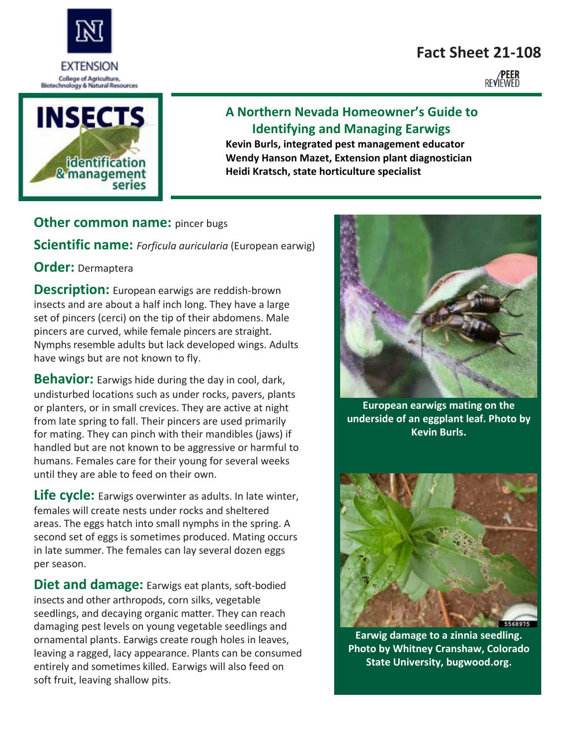# **Fact Sheet 21-108**

**REVIEWED** 



EXTENSION

## **A Northern Nevada Homeowner's Guide to Identifying and Managing Earwigs**

**Kevin Burls, integrated pest management educator Wendy Hanson Mazet, Extension plant diagnostician Heidi Kratsch, state horticulture specialist**

### **Other common name:** pincer bugs

**Scientific name:** *Forficula auricularia* (European earwig)

**Order:** Dermaptera

**Description:** European earwigs are reddish-brown insects and are about a half inch long. They have a large set of pincers (cerci) on the tip of their abdomens. Male pincers are curved, while female pincers are straight. Nymphs resemble adults but lack developed wings. Adults have wings but are not known to fly.

**Behavior:** Earwigs hide during the day in cool, dark, undisturbed locations such as under rocks, pavers, plants or planters, or in small crevices. They are active at night from late spring to fall. Their pincers are used primarily for mating. They can pinch with their mandibles (jaws) if handled but are not known to be aggressive or harmful to humans. Females care for their young for several weeks until they are able to feed on their own.

**Life cycle:** Earwigs overwinter as adults. In late winter, females will create nests under rocks and sheltered areas. The eggs hatch into small nymphs in the spring. A second set of eggs is sometimes produced. Mating occurs in late summer. The females can lay several dozen eggs per season.

**Diet and damage:** Earwigs eat plants, soft-bodied insects and other arthropods, corn silks, vegetable seedlings, and decaying organic matter. They can reach damaging pest levels on young vegetable seedlings and ornamental plants. Earwigs create rough holes in leaves, leaving a ragged, lacy appearance. Plants can be consumed entirely and sometimes killed. Earwigs will also feed on soft fruit, leaving shallow pits.



**European earwigs mating on the underside of an eggplant leaf. Photo by Kevin Burls.** 



**Earwig damage to a zinnia seedling. Photo by Whitney Cranshaw, Colorado State University, bugwood.org.**